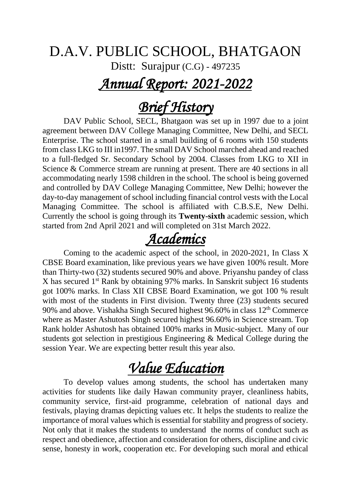#### D.A.V. PUBLIC SCHOOL, BHATGAON

Distt: Surajpur (C.G) - 497235

### *Annual Report: 2021-2022*

## *Brief History*

DAV Public School, SECL, Bhatgaon was set up in 1997 due to a joint agreement between DAV College Managing Committee, New Delhi, and SECL Enterprise. The school started in a small building of 6 rooms with 150 students from class LKG to III in1997. The small DAV School marched ahead and reached to a full-fledged Sr. Secondary School by 2004. Classes from LKG to XII in Science & Commerce stream are running at present. There are 40 sections in all accommodating nearly 1598 children in the school. The school is being governed and controlled by DAV College Managing Committee, New Delhi; however the day-to-day management of school including financial control vests with the Local Managing Committee. The school is affiliated with C.B.S.E, New Delhi. Currently the school is going through its **Twenty-sixth** academic session, which started from 2nd April 2021 and will completed on 31st March 2022.

## *Academics*

Coming to the academic aspect of the school, in 2020-2021, In Class X CBSE Board examination, like previous years we have given 100% result. More than Thirty-two (32) students secured 90% and above. Priyanshu pandey of class X has secured 1<sup>st</sup> Rank by obtaining 97% marks. In Sanskrit subject 16 students got 100% marks. In Class XII CBSE Board Examination, we got 100 % result with most of the students in First division. Twenty three (23) students secured 90% and above. Vishakha Singh Secured highest  $96.60\%$  in class  $12<sup>th</sup>$  Commerce where as Master Ashutosh Singh secured highest 96.60% in Science stream. Top Rank holder Ashutosh has obtained 100% marks in Music-subject. Many of our students got selection in prestigious Engineering & Medical College during the session Year. We are expecting better result this year also.

## *Value Education*

To develop values among students, the school has undertaken many activities for students like daily Hawan community prayer, cleanliness habits, community service, first-aid programme, celebration of national days and festivals, playing dramas depicting values etc. It helps the students to realize the importance of moral values which is essential for stability and progress of society. Not only that it makes the students to understand the norms of conduct such as respect and obedience, affection and consideration for others, discipline and civic sense, honesty in work, cooperation etc. For developing such moral and ethical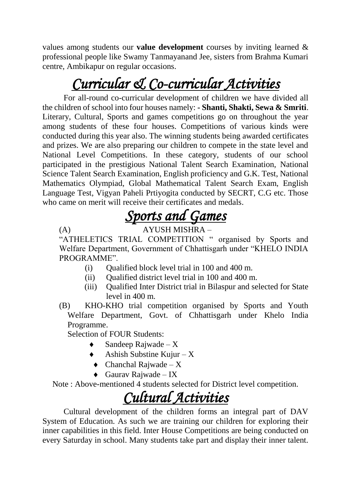values among students our **value development** courses by inviting learned & professional people like Swamy Tanmayanand Jee, sisters from Brahma Kumari centre, Ambikapur on regular occasions.

# *Curricular & Co-curricular Activities*

For all-round co-curricular development of children we have divided all the children of school into four houses namely: **- Shanti, Shakti, Sewa & Smriti**. Literary, Cultural, Sports and games competitions go on throughout the year among students of these four houses. Competitions of various kinds were conducted during this year also. The winning students being awarded certificates and prizes. We are also preparing our children to compete in the state level and National Level Competitions. In these category, students of our school participated in the prestigious National Talent Search Examination, National Science Talent Search Examination, English proficiency and G.K. Test, National Mathematics Olympiad, Global Mathematical Talent Search Exam, English Language Test, Vigyan Paheli Prtiyogita conducted by SECRT, C.G etc. Those who came on merit will receive their certificates and medals.

# *Sports and Games*

#### (A) AYUSH MISHRA –

"ATHELETICS TRIAL COMPETITION " organised by Sports and Welfare Department, Government of Chhattisgarh under "KHELO INDIA PROGRAMME".

- $(i)$  Oualified block level trial in 100 and 400 m.
- (ii) Qualified district level trial in 100 and 400 m.
- (iii) Qualified Inter District trial in Bilaspur and selected for State level in 400 m.
- (B) KHO-KHO trial competition organised by Sports and Youth Welfare Department, Govt. of Chhattisgarh under Khelo India Programme.

Selection of FOUR Students:

- Sandeep Rajwade  $X$
- $\blacklozenge$  Ashish Substine Kujur X
- $\triangleleft$  Chanchal Rajwade X
- $\triangleleft$  Gaurav Rajwade IX

Note : Above-mentioned 4 students selected for District level competition.

## *Cultural Activities*

Cultural development of the children forms an integral part of DAV System of Education. As such we are training our children for exploring their inner capabilities in this field. Inter House Competitions are being conducted on every Saturday in school. Many students take part and display their inner talent.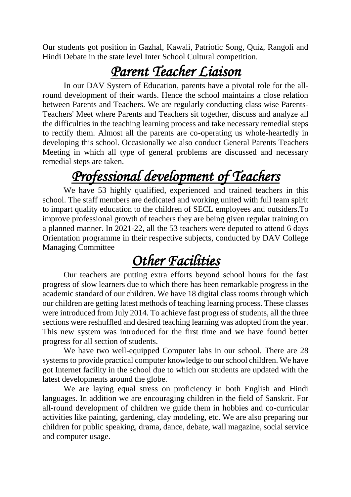Our students got position in Gazhal, Kawali, Patriotic Song, Quiz, Rangoli and Hindi Debate in the state level Inter School Cultural competition.

## *Parent Teacher Liaison*

In our DAV System of Education, parents have a pivotal role for the allround development of their wards. Hence the school maintains a close relation between Parents and Teachers. We are regularly conducting class wise Parents-Teachers' Meet where Parents and Teachers sit together, discuss and analyze all the difficulties in the teaching learning process and take necessary remedial steps to rectify them. Almost all the parents are co-operating us whole-heartedly in developing this school. Occasionally we also conduct General Parents Teachers Meeting in which all type of general problems are discussed and necessary remedial steps are taken.

# *Professional development of Teachers*

We have 53 highly qualified, experienced and trained teachers in this school. The staff members are dedicated and working united with full team spirit to impart quality education to the children of SECL employees and outsiders.To improve professional growth of teachers they are being given regular training on a planned manner. In 2021-22, all the 53 teachers were deputed to attend 6 days Orientation programme in their respective subjects, conducted by DAV College Managing Committee

## *Other Facilities*

Our teachers are putting extra efforts beyond school hours for the fast progress of slow learners due to which there has been remarkable progress in the academic standard of our children. We have 18 digital class rooms through which our children are getting latest methods of teaching learning process. These classes were introduced from July 2014. To achieve fast progress of students, all the three sections were reshuffled and desired teaching learning was adopted from the year. This new system was introduced for the first time and we have found better progress for all section of students.

We have two well-equipped Computer labs in our school. There are 28 systems to provide practical computer knowledge to our school children. We have got Internet facility in the school due to which our students are updated with the latest developments around the globe.

We are laying equal stress on proficiency in both English and Hindi languages. In addition we are encouraging children in the field of Sanskrit. For all-round development of children we guide them in hobbies and co-curricular activities like painting, gardening, clay modeling, etc. We are also preparing our children for public speaking, drama, dance, debate, wall magazine, social service and computer usage.